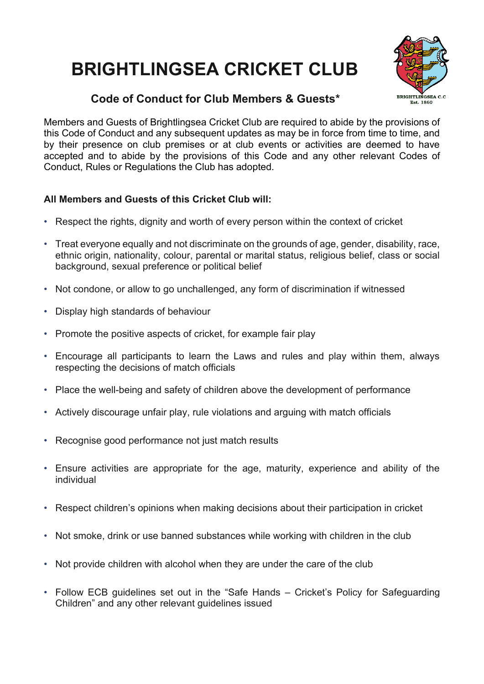## **BRIGHTLINGSEA CRICKET CLUB**





Members and Guests of Brightlingsea Cricket Club are required to abide by the provisions of this Code of Conduct and any subsequent updates as may be in force from time to time, and by their presence on club premises or at club events or activities are deemed to have accepted and to abide by the provisions of this Code and any other relevant Codes of Conduct, Rules or Regulations the Club has adopted.

## **All Members and Guests of this Cricket Club will:**

- Respect the rights, dignity and worth of every person within the context of cricket
- Treat everyone equally and not discriminate on the grounds of age, gender, disability, race, ethnic origin, nationality, colour, parental or marital status, religious belief, class or social background, sexual preference or political belief
- Not condone, or allow to go unchallenged, any form of discrimination if witnessed
- Display high standards of behaviour
- Promote the positive aspects of cricket, for example fair play
- Encourage all participants to learn the Laws and rules and play within them, always respecting the decisions of match officials
- Place the well-being and safety of children above the development of performance
- Actively discourage unfair play, rule violations and arguing with match officials
- Recognise good performance not just match results
- Ensure activities are appropriate for the age, maturity, experience and ability of the individual
- Respect children's opinions when making decisions about their participation in cricket
- Not smoke, drink or use banned substances while working with children in the club
- Not provide children with alcohol when they are under the care of the club
- Follow ECB guidelines set out in the "Safe Hands Cricket's Policy for Safeguarding Children" and any other relevant guidelines issued